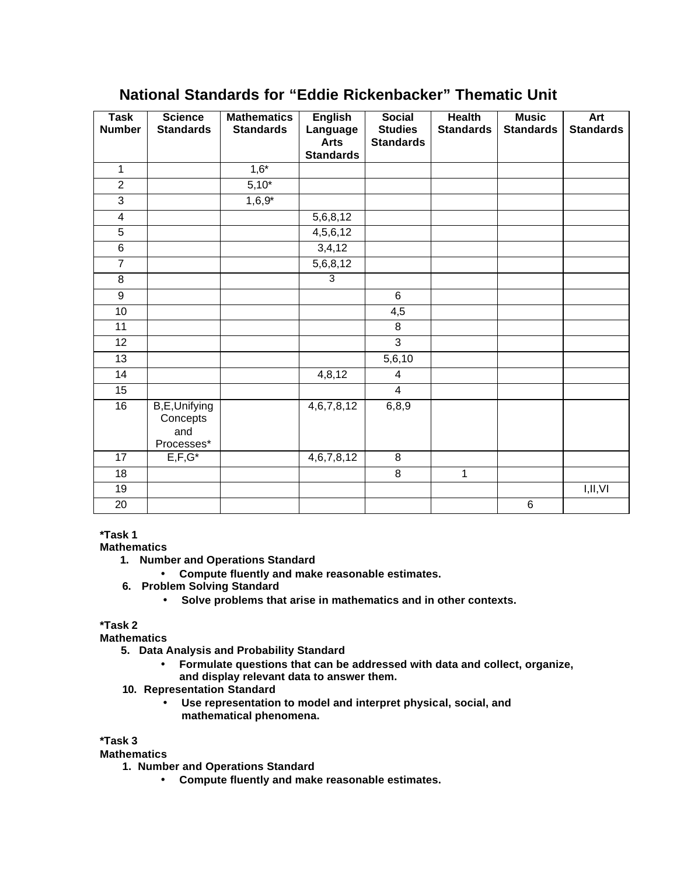# **National Standards for "Eddie Rickenbacker" Thematic Unit**

| <b>Task</b>    | <b>Science</b>           | <b>Mathematics</b> | <b>English</b>          | <b>Social</b>                      | <b>Health</b>    | <b>Music</b>     | <b>Art</b>       |
|----------------|--------------------------|--------------------|-------------------------|------------------------------------|------------------|------------------|------------------|
| <b>Number</b>  | <b>Standards</b>         | <b>Standards</b>   | Language<br><b>Arts</b> | <b>Studies</b><br><b>Standards</b> | <b>Standards</b> | <b>Standards</b> | <b>Standards</b> |
|                |                          |                    | <b>Standards</b>        |                                    |                  |                  |                  |
| $\mathbf{1}$   |                          | $1,6*$             |                         |                                    |                  |                  |                  |
| $\overline{2}$ |                          | $5,10*$            |                         |                                    |                  |                  |                  |
| $\overline{3}$ |                          | $1,6,9*$           |                         |                                    |                  |                  |                  |
| $\overline{4}$ |                          |                    | 5,6,8,12                |                                    |                  |                  |                  |
| $\overline{5}$ |                          |                    | 4,5,6,12                |                                    |                  |                  |                  |
| 6              |                          |                    | 3,4,12                  |                                    |                  |                  |                  |
| $\overline{7}$ |                          |                    | 5,6,8,12                |                                    |                  |                  |                  |
| $\bf 8$        |                          |                    | $\overline{3}$          |                                    |                  |                  |                  |
| 9              |                          |                    |                         | 6                                  |                  |                  |                  |
| 10             |                          |                    |                         | 4,5                                |                  |                  |                  |
| 11             |                          |                    |                         | 8                                  |                  |                  |                  |
| 12             |                          |                    |                         | $\overline{3}$                     |                  |                  |                  |
| 13             |                          |                    |                         | 5,6,10                             |                  |                  |                  |
| 14             |                          |                    | 4,8,12                  | 4                                  |                  |                  |                  |
| 15             |                          |                    |                         | $\overline{\mathbf{4}}$            |                  |                  |                  |
| 16             | B,E,Unifying<br>Concepts |                    | 4,6,7,8,12              | 6,8,9                              |                  |                  |                  |
|                | and<br>Processes*        |                    |                         |                                    |                  |                  |                  |
| 17             | $E, F, G^*$              |                    | 4,6,7,8,12              | 8                                  |                  |                  |                  |
| 18             |                          |                    |                         | $\,8\,$                            | $\mathbf{1}$     |                  |                  |
| 19             |                          |                    |                         |                                    |                  |                  | I,II,VI          |
| 20             |                          |                    |                         |                                    |                  | $\overline{6}$   |                  |

## **\*Task 1**

**Mathematics**

- **1. Number and Operations Standard**
	- **Compute fluently and make reasonable estimates.**
- **6. Problem Solving Standard**
	- **Solve problems that arise in mathematics and in other contexts.**

### **\*Task 2**

**Mathematics**

- **5. Data Analysis and Probability Standard**
	- **Formulate questions that can be addressed with data and collect, organize, and display relevant data to answer them.**
- **10. Representation Standard**
	- **Use representation to model and interpret physical, social, and mathematical phenomena.**

#### **\*Task 3**

### **Mathematics**

- **1. Number and Operations Standard**
	- **Compute fluently and make reasonable estimates.**